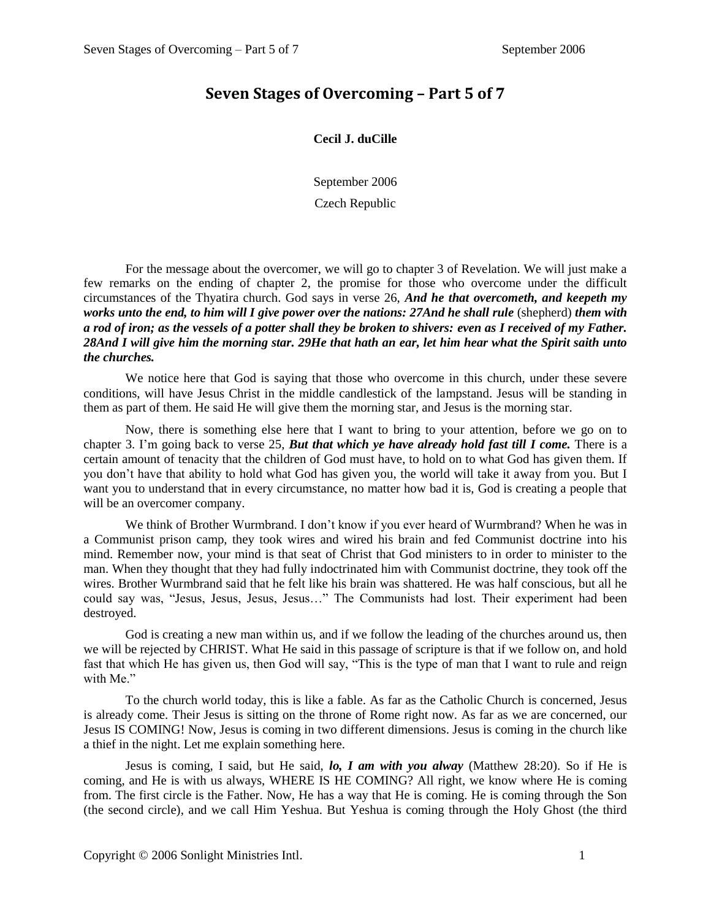## **Seven Stages of Overcoming – Part 5 of 7**

## **Cecil J. duCille**

September 2006

## Czech Republic

For the message about the overcomer, we will go to chapter 3 of Revelation. We will just make a few remarks on the ending of chapter 2, the promise for those who overcome under the difficult circumstances of the Thyatira church. God says in verse 26, *And he that overcometh, and keepeth my works unto the end, to him will I give power over the nations: 27And he shall rule* (shepherd) *them with a rod of iron; as the vessels of a potter shall they be broken to shivers: even as I received of my Father. 28And I will give him the morning star. 29He that hath an ear, let him hear what the Spirit saith unto the churches.*

We notice here that God is saying that those who overcome in this church, under these severe conditions, will have Jesus Christ in the middle candlestick of the lampstand. Jesus will be standing in them as part of them. He said He will give them the morning star, and Jesus is the morning star.

Now, there is something else here that I want to bring to your attention, before we go on to chapter 3. I'm going back to verse 25, *But that which ye have already hold fast till I come.* There is a certain amount of tenacity that the children of God must have, to hold on to what God has given them. If you don't have that ability to hold what God has given you, the world will take it away from you. But I want you to understand that in every circumstance, no matter how bad it is, God is creating a people that will be an overcomer company.

We think of Brother Wurmbrand. I don't know if you ever heard of Wurmbrand? When he was in a Communist prison camp, they took wires and wired his brain and fed Communist doctrine into his mind. Remember now, your mind is that seat of Christ that God ministers to in order to minister to the man. When they thought that they had fully indoctrinated him with Communist doctrine, they took off the wires. Brother Wurmbrand said that he felt like his brain was shattered. He was half conscious, but all he could say was, "Jesus, Jesus, Jesus, Jesus…" The Communists had lost. Their experiment had been destroyed.

God is creating a new man within us, and if we follow the leading of the churches around us, then we will be rejected by CHRIST. What He said in this passage of scripture is that if we follow on, and hold fast that which He has given us, then God will say, "This is the type of man that I want to rule and reign with Me."

To the church world today, this is like a fable. As far as the Catholic Church is concerned, Jesus is already come. Their Jesus is sitting on the throne of Rome right now. As far as we are concerned, our Jesus IS COMING! Now, Jesus is coming in two different dimensions. Jesus is coming in the church like a thief in the night. Let me explain something here.

Jesus is coming, I said, but He said, *lo, I am with you alway* (Matthew 28:20). So if He is coming, and He is with us always, WHERE IS HE COMING? All right, we know where He is coming from. The first circle is the Father. Now, He has a way that He is coming. He is coming through the Son (the second circle), and we call Him Yeshua. But Yeshua is coming through the Holy Ghost (the third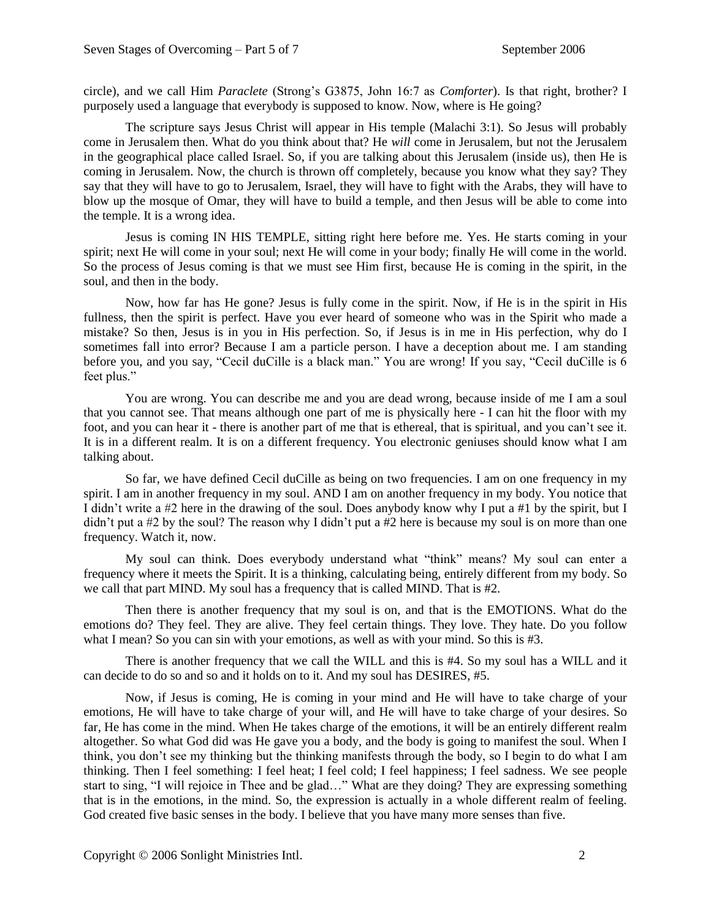circle), and we call Him *Paraclete* (Strong's G3875, John 16:7 as *Comforter*). Is that right, brother? I purposely used a language that everybody is supposed to know. Now, where is He going?

The scripture says Jesus Christ will appear in His temple (Malachi 3:1). So Jesus will probably come in Jerusalem then. What do you think about that? He *will* come in Jerusalem, but not the Jerusalem in the geographical place called Israel. So, if you are talking about this Jerusalem (inside us), then He is coming in Jerusalem. Now, the church is thrown off completely, because you know what they say? They say that they will have to go to Jerusalem, Israel, they will have to fight with the Arabs, they will have to blow up the mosque of Omar, they will have to build a temple, and then Jesus will be able to come into the temple. It is a wrong idea.

Jesus is coming IN HIS TEMPLE, sitting right here before me. Yes. He starts coming in your spirit; next He will come in your soul; next He will come in your body; finally He will come in the world. So the process of Jesus coming is that we must see Him first, because He is coming in the spirit, in the soul, and then in the body.

Now, how far has He gone? Jesus is fully come in the spirit. Now, if He is in the spirit in His fullness, then the spirit is perfect. Have you ever heard of someone who was in the Spirit who made a mistake? So then, Jesus is in you in His perfection. So, if Jesus is in me in His perfection, why do I sometimes fall into error? Because I am a particle person. I have a deception about me. I am standing before you, and you say, "Cecil duCille is a black man." You are wrong! If you say, "Cecil duCille is 6 feet plus."

You are wrong. You can describe me and you are dead wrong, because inside of me I am a soul that you cannot see. That means although one part of me is physically here - I can hit the floor with my foot, and you can hear it - there is another part of me that is ethereal, that is spiritual, and you can't see it. It is in a different realm. It is on a different frequency. You electronic geniuses should know what I am talking about.

So far, we have defined Cecil duCille as being on two frequencies. I am on one frequency in my spirit. I am in another frequency in my soul. AND I am on another frequency in my body. You notice that I didn't write a #2 here in the drawing of the soul. Does anybody know why I put a #1 by the spirit, but I didn't put a #2 by the soul? The reason why I didn't put a #2 here is because my soul is on more than one frequency. Watch it, now.

My soul can think. Does everybody understand what "think" means? My soul can enter a frequency where it meets the Spirit. It is a thinking, calculating being, entirely different from my body. So we call that part MIND. My soul has a frequency that is called MIND. That is #2.

Then there is another frequency that my soul is on, and that is the EMOTIONS. What do the emotions do? They feel. They are alive. They feel certain things. They love. They hate. Do you follow what I mean? So you can sin with your emotions, as well as with your mind. So this is #3.

There is another frequency that we call the WILL and this is #4. So my soul has a WILL and it can decide to do so and so and it holds on to it. And my soul has DESIRES, #5.

Now, if Jesus is coming, He is coming in your mind and He will have to take charge of your emotions, He will have to take charge of your will, and He will have to take charge of your desires. So far, He has come in the mind. When He takes charge of the emotions, it will be an entirely different realm altogether. So what God did was He gave you a body, and the body is going to manifest the soul. When I think, you don't see my thinking but the thinking manifests through the body, so I begin to do what I am thinking. Then I feel something: I feel heat; I feel cold; I feel happiness; I feel sadness. We see people start to sing, "I will rejoice in Thee and be glad…" What are they doing? They are expressing something that is in the emotions, in the mind. So, the expression is actually in a whole different realm of feeling. God created five basic senses in the body. I believe that you have many more senses than five.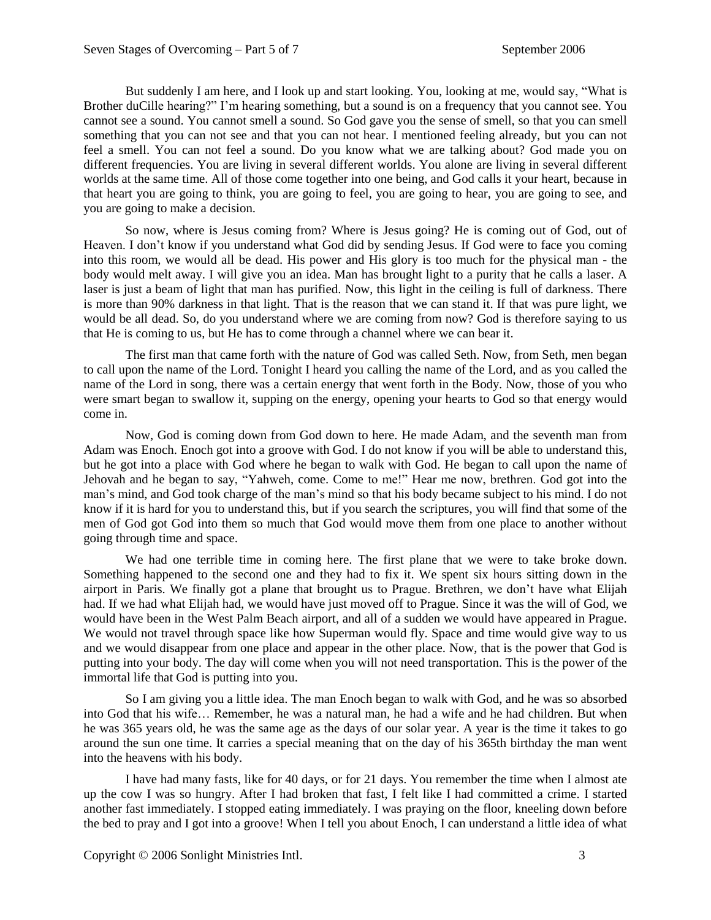But suddenly I am here, and I look up and start looking. You, looking at me, would say, "What is Brother duCille hearing?" I'm hearing something, but a sound is on a frequency that you cannot see. You cannot see a sound. You cannot smell a sound. So God gave you the sense of smell, so that you can smell something that you can not see and that you can not hear. I mentioned feeling already, but you can not feel a smell. You can not feel a sound. Do you know what we are talking about? God made you on different frequencies. You are living in several different worlds. You alone are living in several different worlds at the same time. All of those come together into one being, and God calls it your heart, because in that heart you are going to think, you are going to feel, you are going to hear, you are going to see, and you are going to make a decision.

So now, where is Jesus coming from? Where is Jesus going? He is coming out of God, out of Heaven. I don't know if you understand what God did by sending Jesus. If God were to face you coming into this room, we would all be dead. His power and His glory is too much for the physical man - the body would melt away. I will give you an idea. Man has brought light to a purity that he calls a laser. A laser is just a beam of light that man has purified. Now, this light in the ceiling is full of darkness. There is more than 90% darkness in that light. That is the reason that we can stand it. If that was pure light, we would be all dead. So, do you understand where we are coming from now? God is therefore saying to us that He is coming to us, but He has to come through a channel where we can bear it.

The first man that came forth with the nature of God was called Seth. Now, from Seth, men began to call upon the name of the Lord. Tonight I heard you calling the name of the Lord, and as you called the name of the Lord in song, there was a certain energy that went forth in the Body. Now, those of you who were smart began to swallow it, supping on the energy, opening your hearts to God so that energy would come in.

Now, God is coming down from God down to here. He made Adam, and the seventh man from Adam was Enoch. Enoch got into a groove with God. I do not know if you will be able to understand this, but he got into a place with God where he began to walk with God. He began to call upon the name of Jehovah and he began to say, "Yahweh, come. Come to me!" Hear me now, brethren. God got into the man's mind, and God took charge of the man's mind so that his body became subject to his mind. I do not know if it is hard for you to understand this, but if you search the scriptures, you will find that some of the men of God got God into them so much that God would move them from one place to another without going through time and space.

We had one terrible time in coming here. The first plane that we were to take broke down. Something happened to the second one and they had to fix it. We spent six hours sitting down in the airport in Paris. We finally got a plane that brought us to Prague. Brethren, we don't have what Elijah had. If we had what Elijah had, we would have just moved off to Prague. Since it was the will of God, we would have been in the West Palm Beach airport, and all of a sudden we would have appeared in Prague. We would not travel through space like how Superman would fly. Space and time would give way to us and we would disappear from one place and appear in the other place. Now, that is the power that God is putting into your body. The day will come when you will not need transportation. This is the power of the immortal life that God is putting into you.

So I am giving you a little idea. The man Enoch began to walk with God, and he was so absorbed into God that his wife… Remember, he was a natural man, he had a wife and he had children. But when he was 365 years old, he was the same age as the days of our solar year. A year is the time it takes to go around the sun one time. It carries a special meaning that on the day of his 365th birthday the man went into the heavens with his body.

I have had many fasts, like for 40 days, or for 21 days. You remember the time when I almost ate up the cow I was so hungry. After I had broken that fast, I felt like I had committed a crime. I started another fast immediately. I stopped eating immediately. I was praying on the floor, kneeling down before the bed to pray and I got into a groove! When I tell you about Enoch, I can understand a little idea of what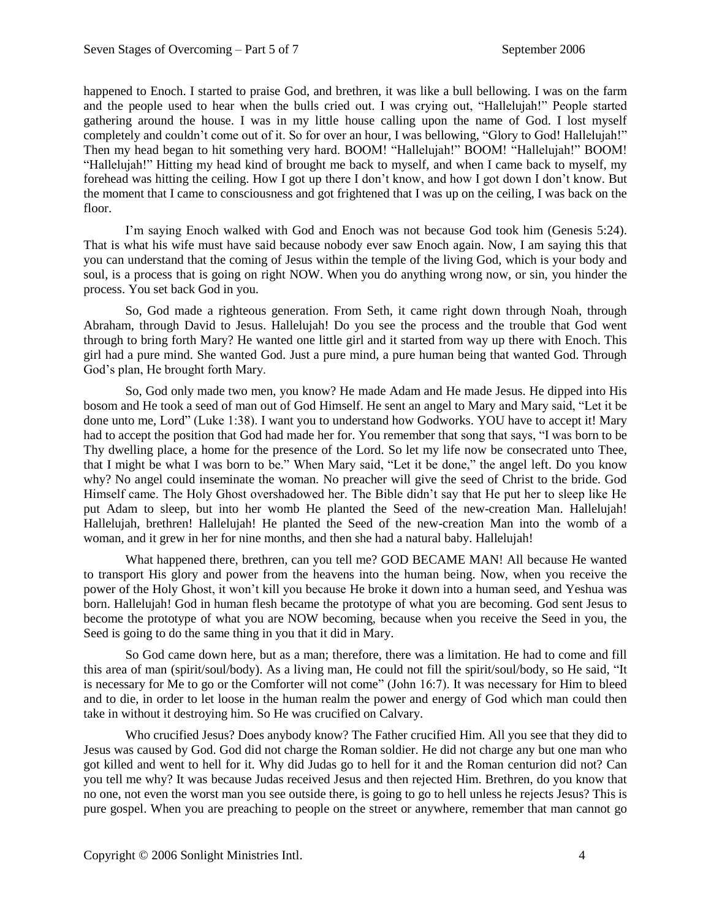happened to Enoch. I started to praise God, and brethren, it was like a bull bellowing. I was on the farm and the people used to hear when the bulls cried out. I was crying out, "Hallelujah!" People started gathering around the house. I was in my little house calling upon the name of God. I lost myself completely and couldn't come out of it. So for over an hour, I was bellowing, "Glory to God! Hallelujah!" Then my head began to hit something very hard. BOOM! "Hallelujah!" BOOM! "Hallelujah!" BOOM! "Hallelujah!" Hitting my head kind of brought me back to myself, and when I came back to myself, my forehead was hitting the ceiling. How I got up there I don't know, and how I got down I don't know. But the moment that I came to consciousness and got frightened that I was up on the ceiling, I was back on the floor.

I'm saying Enoch walked with God and Enoch was not because God took him (Genesis 5:24). That is what his wife must have said because nobody ever saw Enoch again. Now, I am saying this that you can understand that the coming of Jesus within the temple of the living God, which is your body and soul, is a process that is going on right NOW. When you do anything wrong now, or sin, you hinder the process. You set back God in you.

So, God made a righteous generation. From Seth, it came right down through Noah, through Abraham, through David to Jesus. Hallelujah! Do you see the process and the trouble that God went through to bring forth Mary? He wanted one little girl and it started from way up there with Enoch. This girl had a pure mind. She wanted God. Just a pure mind, a pure human being that wanted God. Through God's plan, He brought forth Mary.

So, God only made two men, you know? He made Adam and He made Jesus. He dipped into His bosom and He took a seed of man out of God Himself. He sent an angel to Mary and Mary said, "Let it be done unto me, Lord" (Luke 1:38). I want you to understand how Godworks. YOU have to accept it! Mary had to accept the position that God had made her for. You remember that song that says, "I was born to be Thy dwelling place, a home for the presence of the Lord. So let my life now be consecrated unto Thee, that I might be what I was born to be." When Mary said, "Let it be done," the angel left. Do you know why? No angel could inseminate the woman. No preacher will give the seed of Christ to the bride. God Himself came. The Holy Ghost overshadowed her. The Bible didn't say that He put her to sleep like He put Adam to sleep, but into her womb He planted the Seed of the new-creation Man. Hallelujah! Hallelujah, brethren! Hallelujah! He planted the Seed of the new-creation Man into the womb of a woman, and it grew in her for nine months, and then she had a natural baby. Hallelujah!

What happened there, brethren, can you tell me? GOD BECAME MAN! All because He wanted to transport His glory and power from the heavens into the human being. Now, when you receive the power of the Holy Ghost, it won't kill you because He broke it down into a human seed, and Yeshua was born. Hallelujah! God in human flesh became the prototype of what you are becoming. God sent Jesus to become the prototype of what you are NOW becoming, because when you receive the Seed in you, the Seed is going to do the same thing in you that it did in Mary.

So God came down here, but as a man; therefore, there was a limitation. He had to come and fill this area of man (spirit/soul/body). As a living man, He could not fill the spirit/soul/body, so He said, "It is necessary for Me to go or the Comforter will not come" (John 16:7). It was necessary for Him to bleed and to die, in order to let loose in the human realm the power and energy of God which man could then take in without it destroying him. So He was crucified on Calvary.

Who crucified Jesus? Does anybody know? The Father crucified Him. All you see that they did to Jesus was caused by God. God did not charge the Roman soldier. He did not charge any but one man who got killed and went to hell for it. Why did Judas go to hell for it and the Roman centurion did not? Can you tell me why? It was because Judas received Jesus and then rejected Him. Brethren, do you know that no one, not even the worst man you see outside there, is going to go to hell unless he rejects Jesus? This is pure gospel. When you are preaching to people on the street or anywhere, remember that man cannot go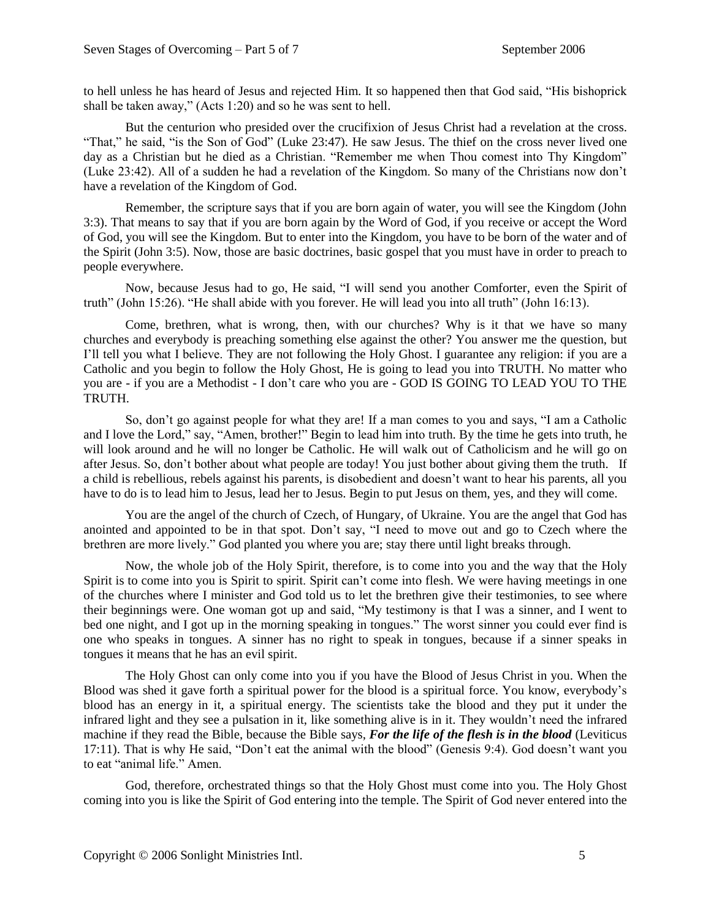to hell unless he has heard of Jesus and rejected Him. It so happened then that God said, "His bishoprick shall be taken away," (Acts 1:20) and so he was sent to hell.

But the centurion who presided over the crucifixion of Jesus Christ had a revelation at the cross. "That," he said, "is the Son of God" (Luke 23:47). He saw Jesus. The thief on the cross never lived one day as a Christian but he died as a Christian. "Remember me when Thou comest into Thy Kingdom" (Luke 23:42). All of a sudden he had a revelation of the Kingdom. So many of the Christians now don't have a revelation of the Kingdom of God.

Remember, the scripture says that if you are born again of water, you will see the Kingdom (John 3:3). That means to say that if you are born again by the Word of God, if you receive or accept the Word of God, you will see the Kingdom. But to enter into the Kingdom, you have to be born of the water and of the Spirit (John 3:5). Now, those are basic doctrines, basic gospel that you must have in order to preach to people everywhere.

Now, because Jesus had to go, He said, "I will send you another Comforter, even the Spirit of truth" (John 15:26). "He shall abide with you forever. He will lead you into all truth" (John 16:13).

Come, brethren, what is wrong, then, with our churches? Why is it that we have so many churches and everybody is preaching something else against the other? You answer me the question, but I'll tell you what I believe. They are not following the Holy Ghost. I guarantee any religion: if you are a Catholic and you begin to follow the Holy Ghost, He is going to lead you into TRUTH. No matter who you are - if you are a Methodist - I don't care who you are - GOD IS GOING TO LEAD YOU TO THE TRUTH.

So, don't go against people for what they are! If a man comes to you and says, "I am a Catholic and I love the Lord," say, "Amen, brother!" Begin to lead him into truth. By the time he gets into truth, he will look around and he will no longer be Catholic. He will walk out of Catholicism and he will go on after Jesus. So, don't bother about what people are today! You just bother about giving them the truth. If a child is rebellious, rebels against his parents, is disobedient and doesn't want to hear his parents, all you have to do is to lead him to Jesus, lead her to Jesus. Begin to put Jesus on them, yes, and they will come.

You are the angel of the church of Czech, of Hungary, of Ukraine. You are the angel that God has anointed and appointed to be in that spot. Don't say, "I need to move out and go to Czech where the brethren are more lively." God planted you where you are; stay there until light breaks through.

Now, the whole job of the Holy Spirit, therefore, is to come into you and the way that the Holy Spirit is to come into you is Spirit to spirit. Spirit can't come into flesh. We were having meetings in one of the churches where I minister and God told us to let the brethren give their testimonies, to see where their beginnings were. One woman got up and said, "My testimony is that I was a sinner, and I went to bed one night, and I got up in the morning speaking in tongues." The worst sinner you could ever find is one who speaks in tongues. A sinner has no right to speak in tongues, because if a sinner speaks in tongues it means that he has an evil spirit.

The Holy Ghost can only come into you if you have the Blood of Jesus Christ in you. When the Blood was shed it gave forth a spiritual power for the blood is a spiritual force. You know, everybody's blood has an energy in it, a spiritual energy. The scientists take the blood and they put it under the infrared light and they see a pulsation in it, like something alive is in it. They wouldn't need the infrared machine if they read the Bible, because the Bible says, *For the life of the flesh is in the blood* (Leviticus 17:11). That is why He said, "Don't eat the animal with the blood" (Genesis 9:4). God doesn't want you to eat "animal life." Amen.

God, therefore, orchestrated things so that the Holy Ghost must come into you. The Holy Ghost coming into you is like the Spirit of God entering into the temple. The Spirit of God never entered into the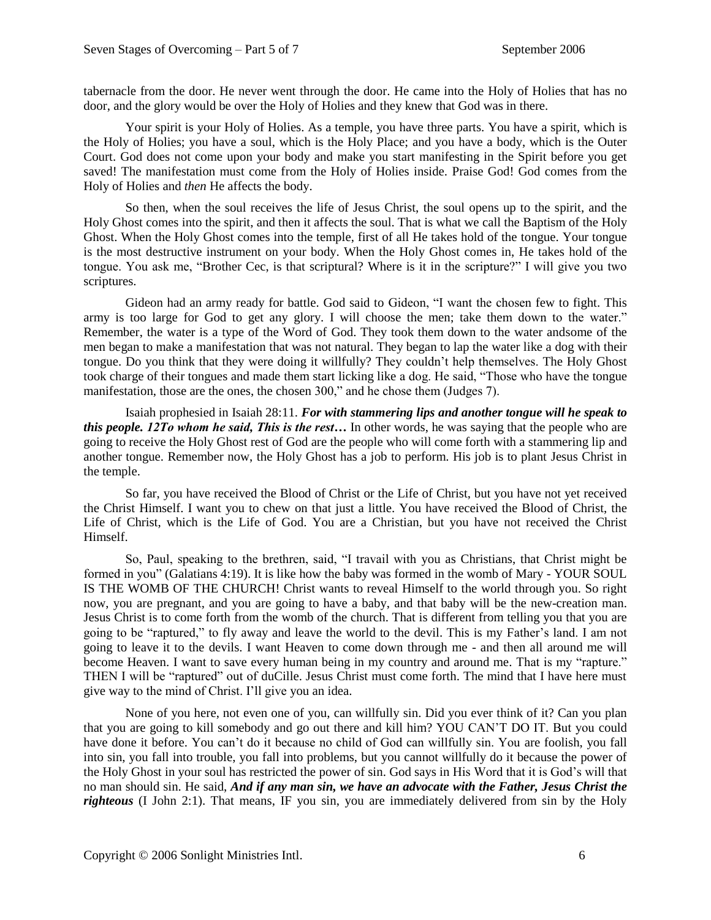tabernacle from the door. He never went through the door. He came into the Holy of Holies that has no door, and the glory would be over the Holy of Holies and they knew that God was in there.

Your spirit is your Holy of Holies. As a temple, you have three parts. You have a spirit, which is the Holy of Holies; you have a soul, which is the Holy Place; and you have a body, which is the Outer Court. God does not come upon your body and make you start manifesting in the Spirit before you get saved! The manifestation must come from the Holy of Holies inside. Praise God! God comes from the Holy of Holies and *then* He affects the body.

So then, when the soul receives the life of Jesus Christ, the soul opens up to the spirit, and the Holy Ghost comes into the spirit, and then it affects the soul. That is what we call the Baptism of the Holy Ghost. When the Holy Ghost comes into the temple, first of all He takes hold of the tongue. Your tongue is the most destructive instrument on your body. When the Holy Ghost comes in, He takes hold of the tongue. You ask me, "Brother Cec, is that scriptural? Where is it in the scripture?" I will give you two scriptures.

Gideon had an army ready for battle. God said to Gideon, "I want the chosen few to fight. This army is too large for God to get any glory. I will choose the men; take them down to the water." Remember, the water is a type of the Word of God. They took them down to the water andsome of the men began to make a manifestation that was not natural. They began to lap the water like a dog with their tongue. Do you think that they were doing it willfully? They couldn't help themselves. The Holy Ghost took charge of their tongues and made them start licking like a dog. He said, "Those who have the tongue manifestation, those are the ones, the chosen 300," and he chose them (Judges 7).

Isaiah prophesied in Isaiah 28:11. *For with stammering lips and another tongue will he speak to this people. 12To whom he said, This is the rest…* In other words, he was saying that the people who are going to receive the Holy Ghost rest of God are the people who will come forth with a stammering lip and another tongue. Remember now, the Holy Ghost has a job to perform. His job is to plant Jesus Christ in the temple.

So far, you have received the Blood of Christ or the Life of Christ, but you have not yet received the Christ Himself. I want you to chew on that just a little. You have received the Blood of Christ, the Life of Christ, which is the Life of God. You are a Christian, but you have not received the Christ Himself.

So, Paul, speaking to the brethren, said, "I travail with you as Christians, that Christ might be formed in you" (Galatians 4:19). It is like how the baby was formed in the womb of Mary - YOUR SOUL IS THE WOMB OF THE CHURCH! Christ wants to reveal Himself to the world through you. So right now, you are pregnant, and you are going to have a baby, and that baby will be the new-creation man. Jesus Christ is to come forth from the womb of the church. That is different from telling you that you are going to be "raptured," to fly away and leave the world to the devil. This is my Father's land. I am not going to leave it to the devils. I want Heaven to come down through me - and then all around me will become Heaven. I want to save every human being in my country and around me. That is my "rapture." THEN I will be "raptured" out of duCille. Jesus Christ must come forth. The mind that I have here must give way to the mind of Christ. I'll give you an idea.

None of you here, not even one of you, can willfully sin. Did you ever think of it? Can you plan that you are going to kill somebody and go out there and kill him? YOU CAN'T DO IT. But you could have done it before. You can't do it because no child of God can willfully sin. You are foolish, you fall into sin, you fall into trouble, you fall into problems, but you cannot willfully do it because the power of the Holy Ghost in your soul has restricted the power of sin. God says in His Word that it is God's will that no man should sin. He said, *And if any man sin, we have an advocate with the Father, Jesus Christ the righteous* (I John 2:1). That means, IF you sin, you are immediately delivered from sin by the Holy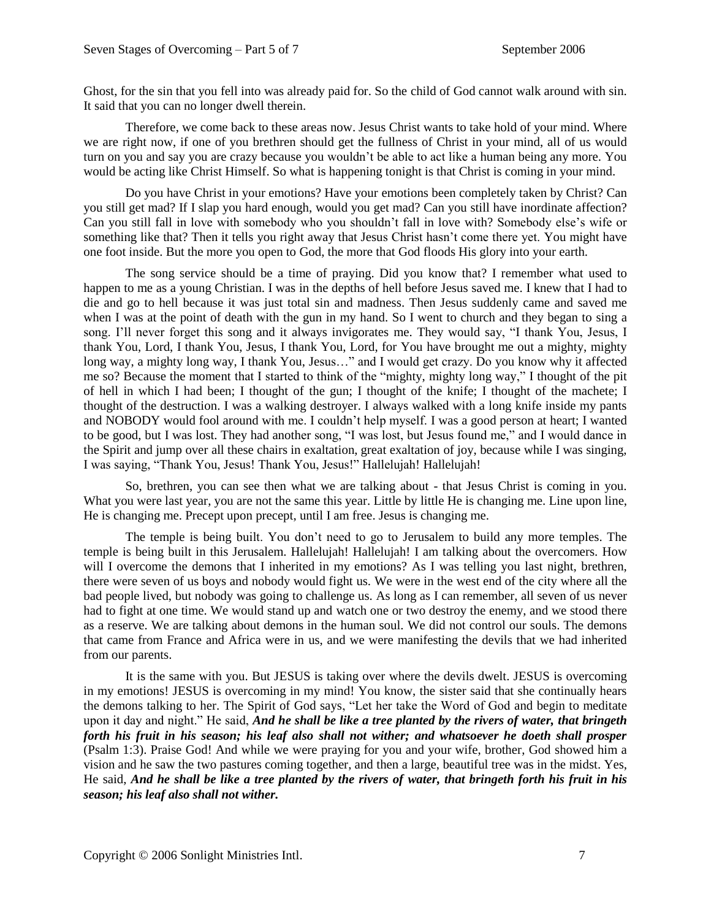Ghost, for the sin that you fell into was already paid for. So the child of God cannot walk around with sin. It said that you can no longer dwell therein.

Therefore, we come back to these areas now. Jesus Christ wants to take hold of your mind. Where we are right now, if one of you brethren should get the fullness of Christ in your mind, all of us would turn on you and say you are crazy because you wouldn't be able to act like a human being any more. You would be acting like Christ Himself. So what is happening tonight is that Christ is coming in your mind.

Do you have Christ in your emotions? Have your emotions been completely taken by Christ? Can you still get mad? If I slap you hard enough, would you get mad? Can you still have inordinate affection? Can you still fall in love with somebody who you shouldn't fall in love with? Somebody else's wife or something like that? Then it tells you right away that Jesus Christ hasn't come there yet. You might have one foot inside. But the more you open to God, the more that God floods His glory into your earth.

The song service should be a time of praying. Did you know that? I remember what used to happen to me as a young Christian. I was in the depths of hell before Jesus saved me. I knew that I had to die and go to hell because it was just total sin and madness. Then Jesus suddenly came and saved me when I was at the point of death with the gun in my hand. So I went to church and they began to sing a song. I'll never forget this song and it always invigorates me. They would say, "I thank You, Jesus, I thank You, Lord, I thank You, Jesus, I thank You, Lord, for You have brought me out a mighty, mighty long way, a mighty long way, I thank You, Jesus…" and I would get crazy. Do you know why it affected me so? Because the moment that I started to think of the "mighty, mighty long way," I thought of the pit of hell in which I had been; I thought of the gun; I thought of the knife; I thought of the machete; I thought of the destruction. I was a walking destroyer. I always walked with a long knife inside my pants and NOBODY would fool around with me. I couldn't help myself. I was a good person at heart; I wanted to be good, but I was lost. They had another song, "I was lost, but Jesus found me," and I would dance in the Spirit and jump over all these chairs in exaltation, great exaltation of joy, because while I was singing, I was saying, "Thank You, Jesus! Thank You, Jesus!" Hallelujah! Hallelujah!

So, brethren, you can see then what we are talking about - that Jesus Christ is coming in you. What you were last year, you are not the same this year. Little by little He is changing me. Line upon line, He is changing me. Precept upon precept, until I am free. Jesus is changing me.

The temple is being built. You don't need to go to Jerusalem to build any more temples. The temple is being built in this Jerusalem. Hallelujah! Hallelujah! I am talking about the overcomers. How will I overcome the demons that I inherited in my emotions? As I was telling you last night, brethren, there were seven of us boys and nobody would fight us. We were in the west end of the city where all the bad people lived, but nobody was going to challenge us. As long as I can remember, all seven of us never had to fight at one time. We would stand up and watch one or two destroy the enemy, and we stood there as a reserve. We are talking about demons in the human soul. We did not control our souls. The demons that came from France and Africa were in us, and we were manifesting the devils that we had inherited from our parents.

It is the same with you. But JESUS is taking over where the devils dwelt. JESUS is overcoming in my emotions! JESUS is overcoming in my mind! You know, the sister said that she continually hears the demons talking to her. The Spirit of God says, "Let her take the Word of God and begin to meditate upon it day and night." He said, *And he shall be like a tree planted by the rivers of water, that bringeth forth his fruit in his season; his leaf also shall not wither; and whatsoever he doeth shall prosper* (Psalm 1:3). Praise God! And while we were praying for you and your wife, brother, God showed him a vision and he saw the two pastures coming together, and then a large, beautiful tree was in the midst. Yes, He said, *And he shall be like a tree planted by the rivers of water, that bringeth forth his fruit in his season; his leaf also shall not wither.*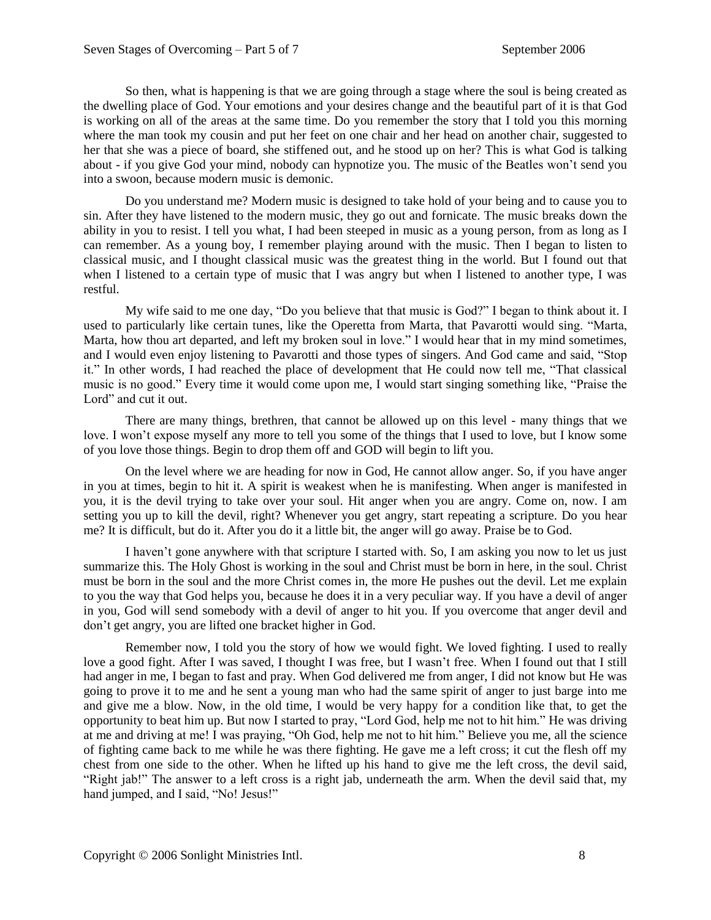So then, what is happening is that we are going through a stage where the soul is being created as the dwelling place of God. Your emotions and your desires change and the beautiful part of it is that God is working on all of the areas at the same time. Do you remember the story that I told you this morning where the man took my cousin and put her feet on one chair and her head on another chair, suggested to her that she was a piece of board, she stiffened out, and he stood up on her? This is what God is talking about - if you give God your mind, nobody can hypnotize you. The music of the Beatles won't send you into a swoon, because modern music is demonic.

Do you understand me? Modern music is designed to take hold of your being and to cause you to sin. After they have listened to the modern music, they go out and fornicate. The music breaks down the ability in you to resist. I tell you what, I had been steeped in music as a young person, from as long as I can remember. As a young boy, I remember playing around with the music. Then I began to listen to classical music, and I thought classical music was the greatest thing in the world. But I found out that when I listened to a certain type of music that I was angry but when I listened to another type, I was restful.

My wife said to me one day, "Do you believe that that music is God?" I began to think about it. I used to particularly like certain tunes, like the Operetta from Marta, that Pavarotti would sing. "Marta, Marta, how thou art departed, and left my broken soul in love." I would hear that in my mind sometimes, and I would even enjoy listening to Pavarotti and those types of singers. And God came and said, "Stop it." In other words, I had reached the place of development that He could now tell me, "That classical music is no good." Every time it would come upon me, I would start singing something like, "Praise the Lord" and cut it out.

There are many things, brethren, that cannot be allowed up on this level - many things that we love. I won't expose myself any more to tell you some of the things that I used to love, but I know some of you love those things. Begin to drop them off and GOD will begin to lift you.

On the level where we are heading for now in God, He cannot allow anger. So, if you have anger in you at times, begin to hit it. A spirit is weakest when he is manifesting. When anger is manifested in you, it is the devil trying to take over your soul. Hit anger when you are angry. Come on, now. I am setting you up to kill the devil, right? Whenever you get angry, start repeating a scripture. Do you hear me? It is difficult, but do it. After you do it a little bit, the anger will go away. Praise be to God.

I haven't gone anywhere with that scripture I started with. So, I am asking you now to let us just summarize this. The Holy Ghost is working in the soul and Christ must be born in here, in the soul. Christ must be born in the soul and the more Christ comes in, the more He pushes out the devil. Let me explain to you the way that God helps you, because he does it in a very peculiar way. If you have a devil of anger in you, God will send somebody with a devil of anger to hit you. If you overcome that anger devil and don't get angry, you are lifted one bracket higher in God.

Remember now, I told you the story of how we would fight. We loved fighting. I used to really love a good fight. After I was saved, I thought I was free, but I wasn't free. When I found out that I still had anger in me, I began to fast and pray. When God delivered me from anger, I did not know but He was going to prove it to me and he sent a young man who had the same spirit of anger to just barge into me and give me a blow. Now, in the old time, I would be very happy for a condition like that, to get the opportunity to beat him up. But now I started to pray, "Lord God, help me not to hit him." He was driving at me and driving at me! I was praying, "Oh God, help me not to hit him." Believe you me, all the science of fighting came back to me while he was there fighting. He gave me a left cross; it cut the flesh off my chest from one side to the other. When he lifted up his hand to give me the left cross, the devil said, "Right jab!" The answer to a left cross is a right jab, underneath the arm. When the devil said that, my hand jumped, and I said, "No! Jesus!"